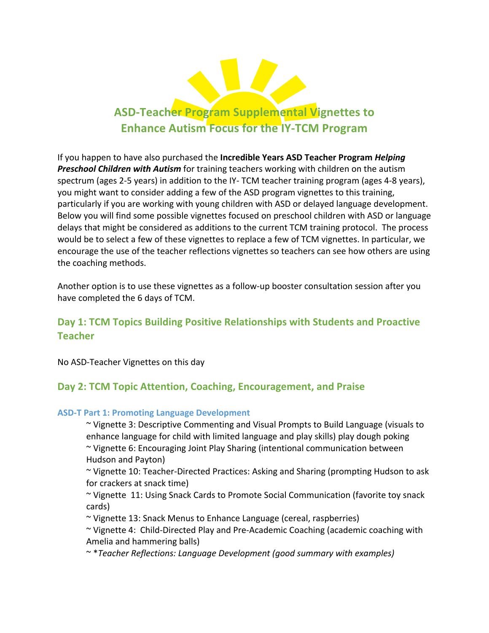

If you happen to have also purchased the **Incredible Years ASD Teacher Program** *Helping* **Preschool Children with Autism** for training teachers working with children on the autism spectrum (ages 2-5 years) in addition to the IY- TCM teacher training program (ages 4-8 years), you might want to consider adding a few of the ASD program vignettes to this training, particularly if you are working with young children with ASD or delayed language development. Below you will find some possible vignettes focused on preschool children with ASD or language delays that might be considered as additions to the current TCM training protocol. The process would be to select a few of these vignettes to replace a few of TCM vignettes. In particular, we encourage the use of the teacher reflections vignettes so teachers can see how others are using the coaching methods.

Another option is to use these vignettes as a follow-up booster consultation session after you have completed the 6 days of TCM.

# **Day 1: TCM Topics Building Positive Relationships with Students and Proactive Teacher**

No ASD-Teacher Vignettes on this day

# Day 2: TCM Topic Attention, Coaching, Encouragement, and Praise

# **ASD-T Part 1: Promoting Language Development**

~ Vignette 3: Descriptive Commenting and Visual Prompts to Build Language (visuals to enhance language for child with limited language and play skills) play dough poking ~ Vignette 6: Encouraging Joint Play Sharing (intentional communication between Hudson and Payton)

 $\sim$  Vignette 10: Teacher-Directed Practices: Asking and Sharing (prompting Hudson to ask for crackers at snack time)

~ Vignette 11: Using Snack Cards to Promote Social Communication (favorite toy snack cards)

~ Vignette 13: Snack Menus to Enhance Language (cereal, raspberries)

~ Vignette 4: Child-Directed Play and Pre-Academic Coaching (academic coaching with Amelia and hammering balls)

~ \**Teacher Reflections: Language Development (good summary with examples)*